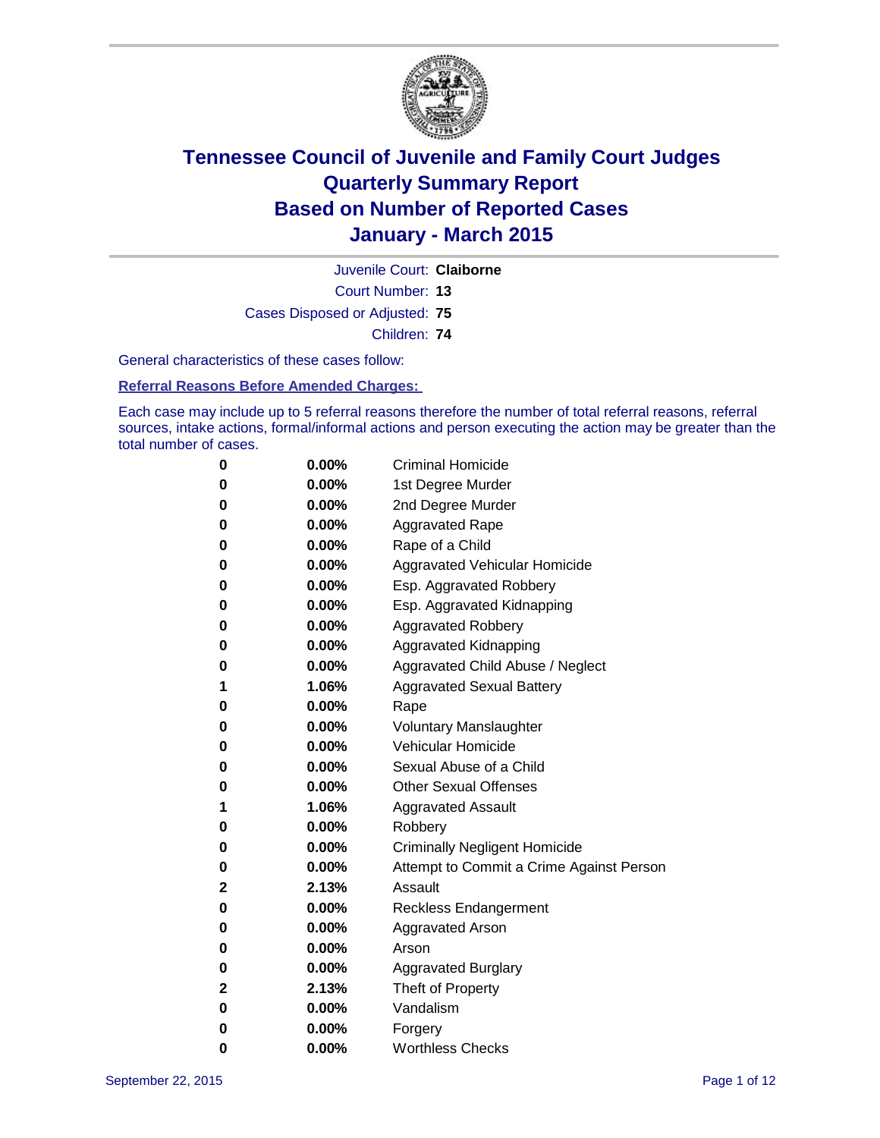

Court Number: **13** Juvenile Court: **Claiborne** Cases Disposed or Adjusted: **75**

Children: **74**

General characteristics of these cases follow:

**Referral Reasons Before Amended Charges:** 

Each case may include up to 5 referral reasons therefore the number of total referral reasons, referral sources, intake actions, formal/informal actions and person executing the action may be greater than the total number of cases.

| 0           | $0.00\%$ | <b>Criminal Homicide</b>                 |
|-------------|----------|------------------------------------------|
| 0           | $0.00\%$ | 1st Degree Murder                        |
| 0           | $0.00\%$ | 2nd Degree Murder                        |
| 0           | $0.00\%$ | <b>Aggravated Rape</b>                   |
| 0           | $0.00\%$ | Rape of a Child                          |
| 0           | $0.00\%$ | Aggravated Vehicular Homicide            |
| 0           | $0.00\%$ | Esp. Aggravated Robbery                  |
| 0           | $0.00\%$ | Esp. Aggravated Kidnapping               |
| 0           | $0.00\%$ | <b>Aggravated Robbery</b>                |
| 0           | $0.00\%$ | Aggravated Kidnapping                    |
| 0           | $0.00\%$ | Aggravated Child Abuse / Neglect         |
| 1           | 1.06%    | <b>Aggravated Sexual Battery</b>         |
| 0           | $0.00\%$ | Rape                                     |
| 0           | $0.00\%$ | <b>Voluntary Manslaughter</b>            |
| 0           | 0.00%    | Vehicular Homicide                       |
| 0           | $0.00\%$ | Sexual Abuse of a Child                  |
| 0           | $0.00\%$ | <b>Other Sexual Offenses</b>             |
| 1           | 1.06%    | <b>Aggravated Assault</b>                |
| 0           | $0.00\%$ | Robbery                                  |
| 0           | $0.00\%$ | <b>Criminally Negligent Homicide</b>     |
| 0           | $0.00\%$ | Attempt to Commit a Crime Against Person |
| 2           | 2.13%    | Assault                                  |
| 0           | $0.00\%$ | <b>Reckless Endangerment</b>             |
| 0           | $0.00\%$ | Aggravated Arson                         |
| 0           | $0.00\%$ | Arson                                    |
| 0           | $0.00\%$ | <b>Aggravated Burglary</b>               |
| $\mathbf 2$ | 2.13%    | Theft of Property                        |
| 0           | $0.00\%$ | Vandalism                                |
| 0           | $0.00\%$ | Forgery                                  |
| 0           | 0.00%    | <b>Worthless Checks</b>                  |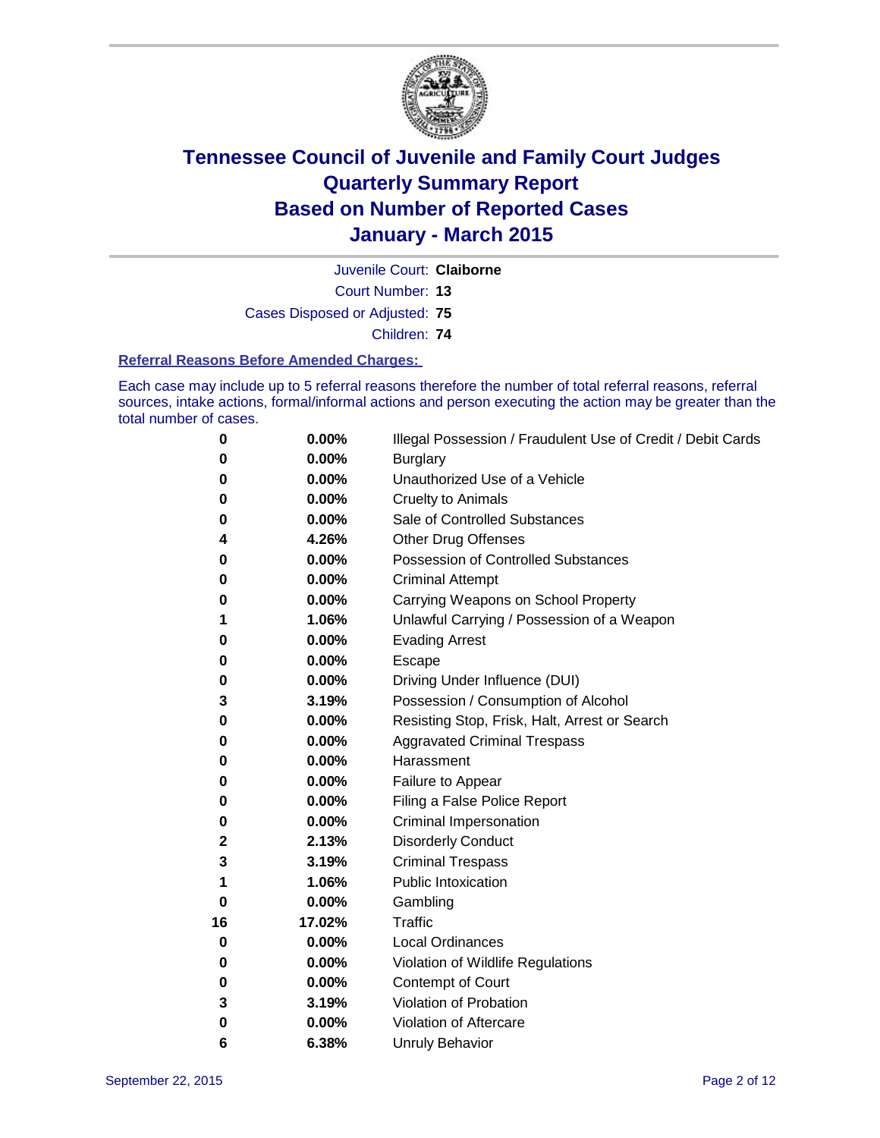

Juvenile Court: **Claiborne**

Court Number: **13**

Cases Disposed or Adjusted: **75**

Children: **74**

#### **Referral Reasons Before Amended Charges:**

Each case may include up to 5 referral reasons therefore the number of total referral reasons, referral sources, intake actions, formal/informal actions and person executing the action may be greater than the total number of cases.

| 0        | 0.00%  | Illegal Possession / Fraudulent Use of Credit / Debit Cards |
|----------|--------|-------------------------------------------------------------|
| 0        | 0.00%  | <b>Burglary</b>                                             |
| 0        | 0.00%  | Unauthorized Use of a Vehicle                               |
| 0        | 0.00%  | <b>Cruelty to Animals</b>                                   |
| 0        | 0.00%  | Sale of Controlled Substances                               |
| 4        | 4.26%  | Other Drug Offenses                                         |
| 0        | 0.00%  | <b>Possession of Controlled Substances</b>                  |
| 0        | 0.00%  | <b>Criminal Attempt</b>                                     |
| 0        | 0.00%  | Carrying Weapons on School Property                         |
| 1        | 1.06%  | Unlawful Carrying / Possession of a Weapon                  |
| 0        | 0.00%  | <b>Evading Arrest</b>                                       |
| 0        | 0.00%  | Escape                                                      |
| 0        | 0.00%  | Driving Under Influence (DUI)                               |
| 3        | 3.19%  | Possession / Consumption of Alcohol                         |
| 0        | 0.00%  | Resisting Stop, Frisk, Halt, Arrest or Search               |
| 0        | 0.00%  | <b>Aggravated Criminal Trespass</b>                         |
| 0        | 0.00%  | Harassment                                                  |
| 0        | 0.00%  | Failure to Appear                                           |
| 0        | 0.00%  | Filing a False Police Report                                |
| 0        | 0.00%  | <b>Criminal Impersonation</b>                               |
| 2        | 2.13%  | <b>Disorderly Conduct</b>                                   |
| 3        | 3.19%  | <b>Criminal Trespass</b>                                    |
| 1        | 1.06%  | <b>Public Intoxication</b>                                  |
| $\bf{0}$ | 0.00%  | Gambling                                                    |
| 16       | 17.02% | <b>Traffic</b>                                              |
| 0        | 0.00%  | <b>Local Ordinances</b>                                     |
| 0        | 0.00%  | Violation of Wildlife Regulations                           |
| 0        | 0.00%  | Contempt of Court                                           |
| 3        | 3.19%  | Violation of Probation                                      |
| 0        | 0.00%  | Violation of Aftercare                                      |
| 6        | 6.38%  | <b>Unruly Behavior</b>                                      |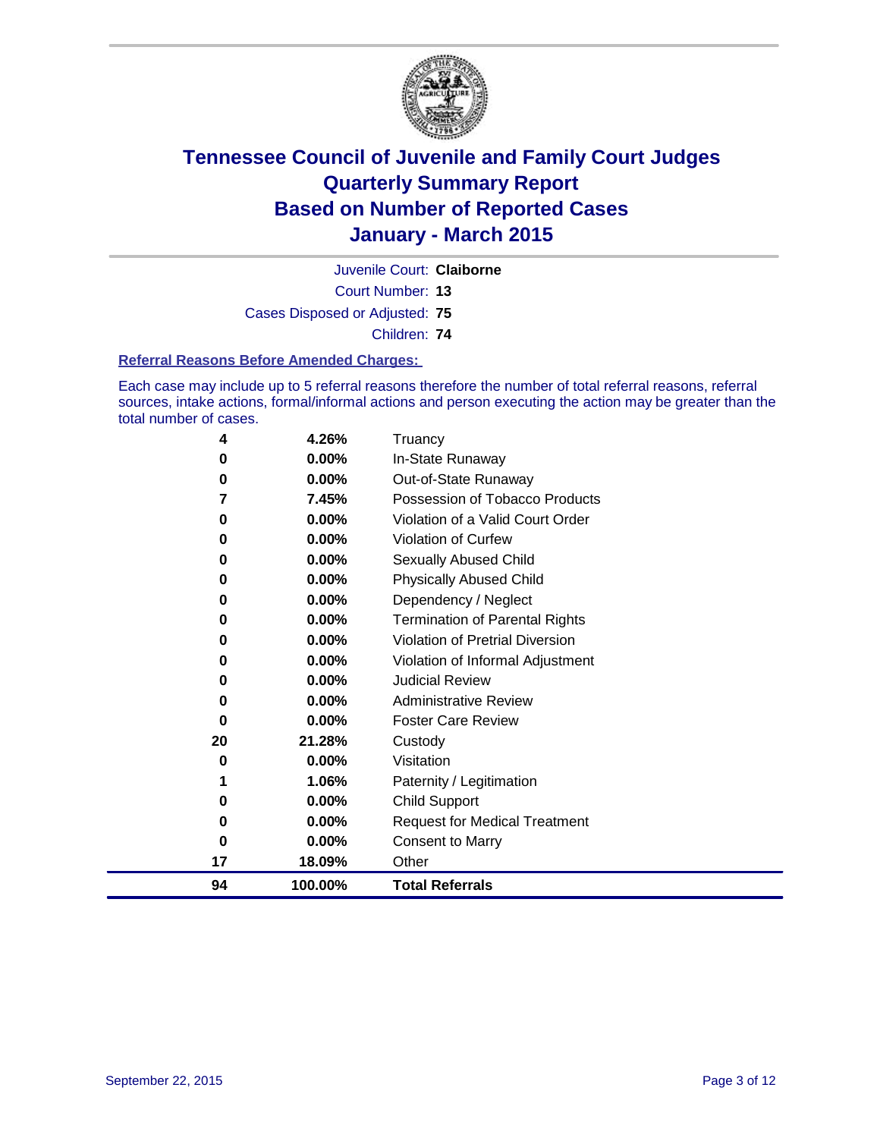

Court Number: **13** Juvenile Court: **Claiborne**

Cases Disposed or Adjusted: **75**

Children: **74**

#### **Referral Reasons Before Amended Charges:**

Each case may include up to 5 referral reasons therefore the number of total referral reasons, referral sources, intake actions, formal/informal actions and person executing the action may be greater than the total number of cases.

| 4  | 4.26%    | Truancy                                |
|----|----------|----------------------------------------|
| 0  | 0.00%    | In-State Runaway                       |
| 0  | $0.00\%$ | Out-of-State Runaway                   |
| 7  | 7.45%    | Possession of Tobacco Products         |
| 0  | $0.00\%$ | Violation of a Valid Court Order       |
| 0  | 0.00%    | Violation of Curfew                    |
| 0  | $0.00\%$ | Sexually Abused Child                  |
| 0  | 0.00%    | <b>Physically Abused Child</b>         |
| 0  | 0.00%    | Dependency / Neglect                   |
| 0  | 0.00%    | <b>Termination of Parental Rights</b>  |
| 0  | 0.00%    | <b>Violation of Pretrial Diversion</b> |
| 0  | $0.00\%$ | Violation of Informal Adjustment       |
| 0  | $0.00\%$ | <b>Judicial Review</b>                 |
| 0  | $0.00\%$ | <b>Administrative Review</b>           |
| 0  | 0.00%    | <b>Foster Care Review</b>              |
| 20 | 21.28%   | Custody                                |
| 0  | $0.00\%$ | Visitation                             |
| 1  | 1.06%    | Paternity / Legitimation               |
| 0  | 0.00%    | <b>Child Support</b>                   |
| 0  | 0.00%    | <b>Request for Medical Treatment</b>   |
| 0  | 0.00%    | <b>Consent to Marry</b>                |
| 17 | 18.09%   | Other                                  |
| 94 | 100.00%  | <b>Total Referrals</b>                 |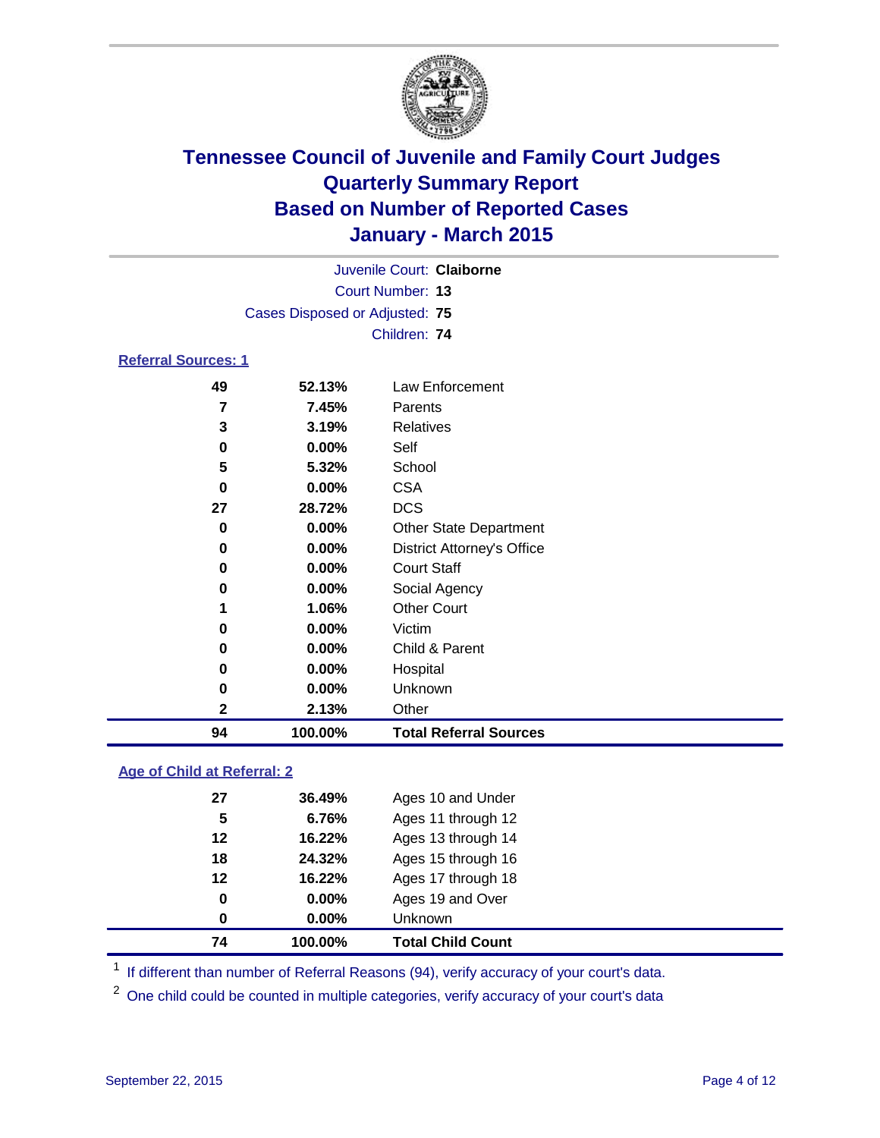

|                            |                                | Juvenile Court: Claiborne |  |  |
|----------------------------|--------------------------------|---------------------------|--|--|
|                            | Court Number: 13               |                           |  |  |
|                            | Cases Disposed or Adjusted: 75 |                           |  |  |
|                            |                                | Children: 74              |  |  |
| <b>Referral Sources: 1</b> |                                |                           |  |  |
| 49                         | 52.13%                         | Law Enforcement           |  |  |
| 7                          | 7.45%                          | Parents                   |  |  |
| 3                          | 3.19%                          | Relatives                 |  |  |
| 0                          | $0.00\%$                       | Self                      |  |  |
| 5                          | 5.32%                          | School                    |  |  |

| 94 | 100.00%  | <b>Total Referral Sources</b>     |
|----|----------|-----------------------------------|
| 2  | 2.13%    | Other                             |
| 0  | 0.00%    | Unknown                           |
| 0  | 0.00%    | Hospital                          |
| 0  | $0.00\%$ | Child & Parent                    |
| 0  | 0.00%    | Victim                            |
| 1  | 1.06%    | <b>Other Court</b>                |
| 0  | 0.00%    | Social Agency                     |
| 0  | 0.00%    | <b>Court Staff</b>                |
| 0  | 0.00%    | <b>District Attorney's Office</b> |
| 0  | 0.00%    | <b>Other State Department</b>     |
| 27 | 28.72%   | <b>DCS</b>                        |
| 0  | 0.00%    | <b>CSA</b>                        |
| 5  | 5.32%    | School                            |
|    |          | ---                               |

### **Age of Child at Referral: 2**

| 74 | 100.00%  | <b>Total Child Count</b> |
|----|----------|--------------------------|
| 0  | $0.00\%$ | <b>Unknown</b>           |
| 0  | $0.00\%$ | Ages 19 and Over         |
| 12 | 16.22%   | Ages 17 through 18       |
| 18 | 24.32%   | Ages 15 through 16       |
| 12 | 16.22%   | Ages 13 through 14       |
| 5  | 6.76%    | Ages 11 through 12       |
| 27 | 36.49%   | Ages 10 and Under        |
|    |          |                          |

<sup>1</sup> If different than number of Referral Reasons (94), verify accuracy of your court's data.

One child could be counted in multiple categories, verify accuracy of your court's data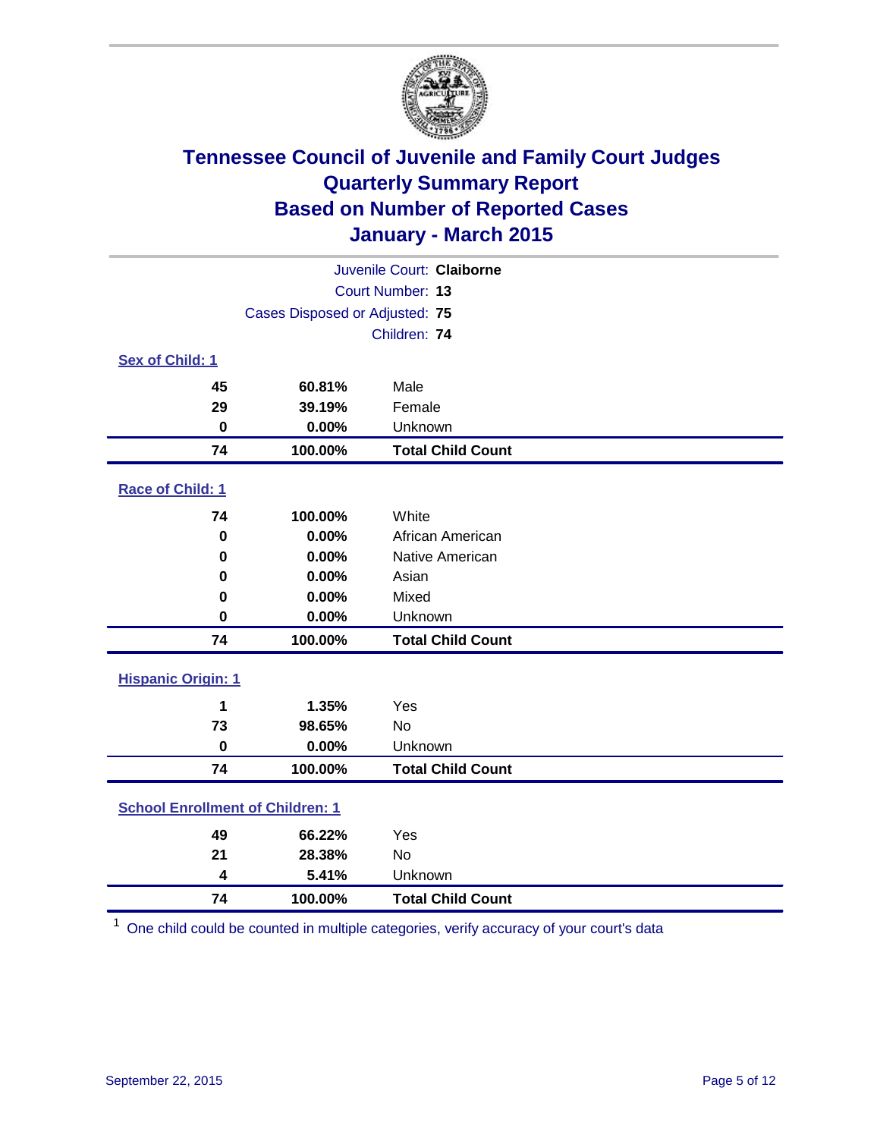

| Juvenile Court: Claiborne               |                                |                          |  |  |  |
|-----------------------------------------|--------------------------------|--------------------------|--|--|--|
|                                         | Court Number: 13               |                          |  |  |  |
|                                         | Cases Disposed or Adjusted: 75 |                          |  |  |  |
|                                         |                                | Children: 74             |  |  |  |
| <b>Sex of Child: 1</b>                  |                                |                          |  |  |  |
| 45                                      | 60.81%                         | Male                     |  |  |  |
| 29                                      | 39.19%                         | Female                   |  |  |  |
| $\bf{0}$                                | 0.00%                          | Unknown                  |  |  |  |
| 74                                      | 100.00%                        | <b>Total Child Count</b> |  |  |  |
| Race of Child: 1                        |                                |                          |  |  |  |
| 74                                      | 100.00%                        | White                    |  |  |  |
| $\mathbf 0$                             | 0.00%                          | African American         |  |  |  |
| 0                                       | 0.00%                          | Native American          |  |  |  |
| 0                                       | 0.00%                          | Asian                    |  |  |  |
| 0                                       | 0.00%                          | Mixed                    |  |  |  |
| 0                                       | 0.00%                          | Unknown                  |  |  |  |
| 74                                      | 100.00%                        | <b>Total Child Count</b> |  |  |  |
| <b>Hispanic Origin: 1</b>               |                                |                          |  |  |  |
| 1                                       | 1.35%                          | Yes                      |  |  |  |
| 73                                      | 98.65%                         | No                       |  |  |  |
| $\bf{0}$                                | 0.00%                          | Unknown                  |  |  |  |
| 74                                      | 100.00%                        | <b>Total Child Count</b> |  |  |  |
| <b>School Enrollment of Children: 1</b> |                                |                          |  |  |  |
| 49                                      | 66.22%                         | Yes                      |  |  |  |
| 21                                      | 28.38%                         | No                       |  |  |  |
| 4                                       | 5.41%                          | Unknown                  |  |  |  |
| 74                                      | 100.00%                        | <b>Total Child Count</b> |  |  |  |

One child could be counted in multiple categories, verify accuracy of your court's data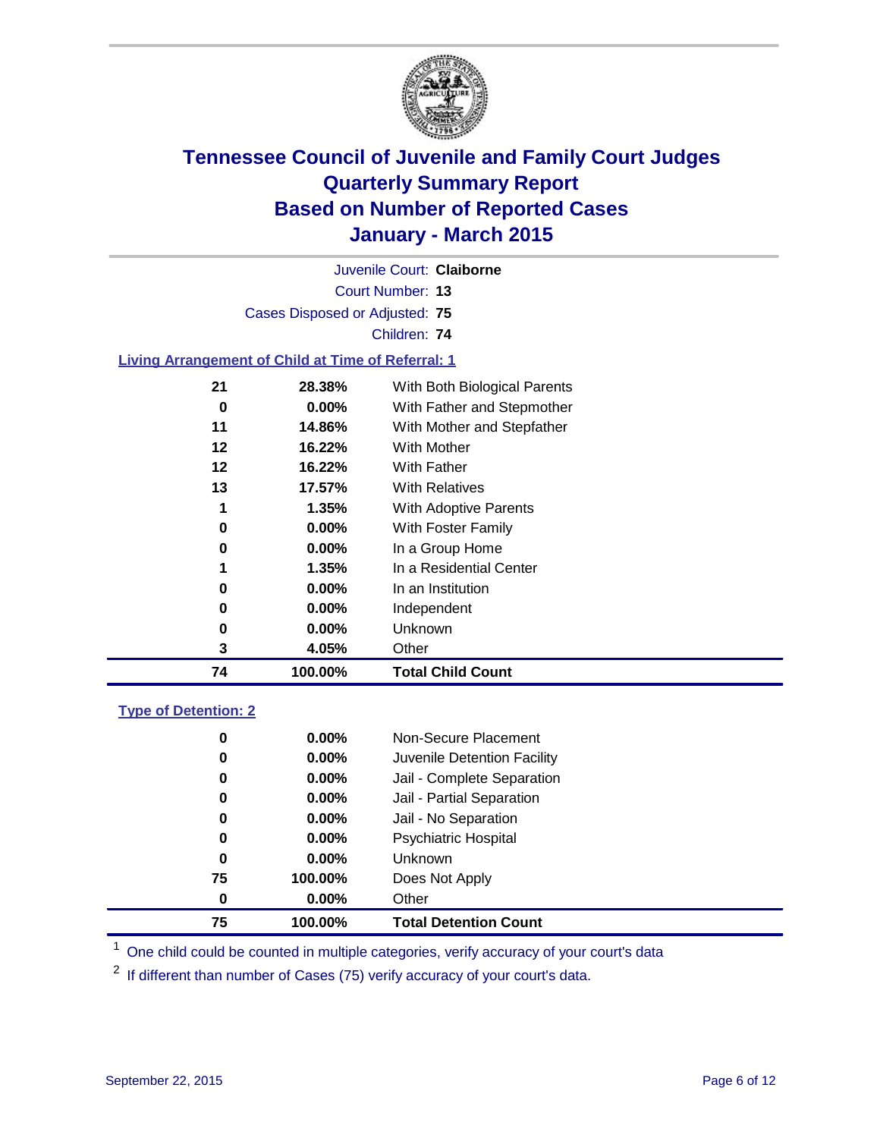

| 74 | 100.00%                                                   | <b>Total Child Count</b>     |  |
|----|-----------------------------------------------------------|------------------------------|--|
| 3  | 4.05%                                                     | Other                        |  |
| 0  | 0.00%                                                     | Unknown                      |  |
| 0  | 0.00%                                                     | Independent                  |  |
| 0  | $0.00\%$                                                  | In an Institution            |  |
|    | 1.35%                                                     | In a Residential Center      |  |
| 0  | $0.00\%$                                                  | In a Group Home              |  |
| 0  | 0.00%                                                     | With Foster Family           |  |
| 1  | 1.35%                                                     | <b>With Adoptive Parents</b> |  |
| 13 | 17.57%                                                    | <b>With Relatives</b>        |  |
| 12 | 16.22%                                                    | With Father                  |  |
| 12 | 16.22%                                                    | With Mother                  |  |
| 11 | 14.86%                                                    | With Mother and Stepfather   |  |
| 0  | 0.00%                                                     | With Father and Stepmother   |  |
| 21 | 28.38%                                                    | With Both Biological Parents |  |
|    | <b>Living Arrangement of Child at Time of Referral: 1</b> |                              |  |
|    |                                                           | Children: 74                 |  |
|    | Cases Disposed or Adjusted: 75                            |                              |  |
|    |                                                           |                              |  |
|    |                                                           | Court Number: 13             |  |
|    |                                                           | Juvenile Court: Claiborne    |  |

#### **Type of Detention: 2**

| 75 | 100.00%  | <b>Total Detention Count</b> |
|----|----------|------------------------------|
| 0  | $0.00\%$ | Other                        |
| 75 | 100.00%  | Does Not Apply               |
| 0  | $0.00\%$ | <b>Unknown</b>               |
| 0  | $0.00\%$ | <b>Psychiatric Hospital</b>  |
| 0  | 0.00%    | Jail - No Separation         |
| 0  | 0.00%    | Jail - Partial Separation    |
| 0  | $0.00\%$ | Jail - Complete Separation   |
| 0  | 0.00%    | Juvenile Detention Facility  |
| 0  | $0.00\%$ | Non-Secure Placement         |

<sup>1</sup> One child could be counted in multiple categories, verify accuracy of your court's data

If different than number of Cases (75) verify accuracy of your court's data.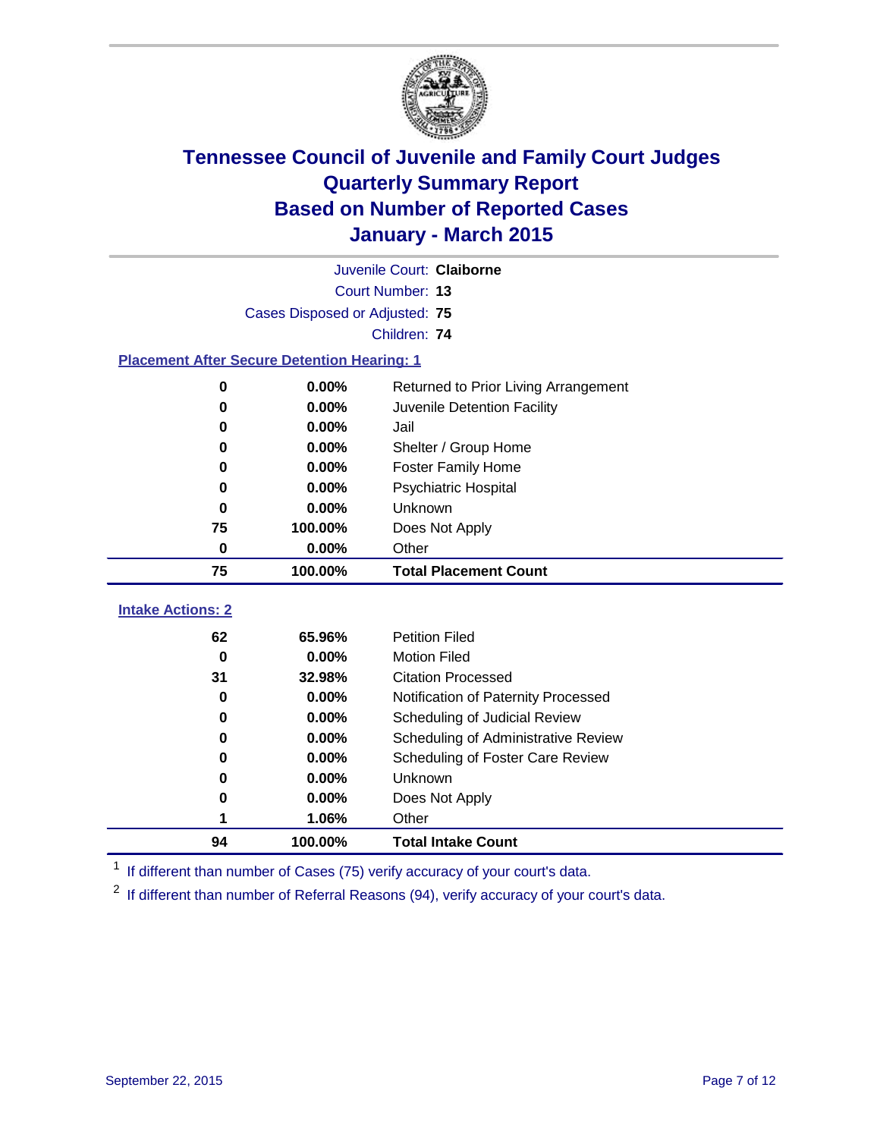

|                                                    | Juvenile Court: Claiborne      |                                      |  |  |  |
|----------------------------------------------------|--------------------------------|--------------------------------------|--|--|--|
|                                                    | <b>Court Number: 13</b>        |                                      |  |  |  |
|                                                    | Cases Disposed or Adjusted: 75 |                                      |  |  |  |
|                                                    |                                | Children: 74                         |  |  |  |
| <b>Placement After Secure Detention Hearing: 1</b> |                                |                                      |  |  |  |
| 0                                                  | 0.00%                          | Returned to Prior Living Arrangement |  |  |  |
| 0                                                  | 0.00%                          | Juvenile Detention Facility          |  |  |  |
| 0                                                  | 0.00%                          | Jail                                 |  |  |  |
| 0                                                  | 0.00%                          | Shelter / Group Home                 |  |  |  |
| $\bf{0}$                                           | 0.00%                          | <b>Foster Family Home</b>            |  |  |  |
| 0                                                  | 0.00%                          | <b>Psychiatric Hospital</b>          |  |  |  |
| 0                                                  | 0.00%                          | Unknown                              |  |  |  |
| 75                                                 | 100.00%                        | Does Not Apply                       |  |  |  |
| 0                                                  | 0.00%                          | Other                                |  |  |  |
| 75                                                 | 100.00%                        | <b>Total Placement Count</b>         |  |  |  |
| <b>Intake Actions: 2</b>                           |                                |                                      |  |  |  |
| 62                                                 | 65.96%                         | <b>Petition Filed</b>                |  |  |  |
| $\bf{0}$                                           | 0.00%                          | <b>Motion Filed</b>                  |  |  |  |
| 31                                                 | 32.98%                         | <b>Citation Processed</b>            |  |  |  |
| 0                                                  | 0.00%                          | Notification of Paternity Processed  |  |  |  |
| 0                                                  | 0.00%                          | Scheduling of Judicial Review        |  |  |  |
| 0                                                  | 0.00%                          | Scheduling of Administrative Review  |  |  |  |
| $\bf{0}$                                           | 0.00%                          | Scheduling of Foster Care Review     |  |  |  |
| 0                                                  | 0.00%                          | Unknown                              |  |  |  |
| 0                                                  | 0.00%                          | Does Not Apply                       |  |  |  |
|                                                    | 1.06%                          | Other                                |  |  |  |
| 94                                                 | 100.00%                        | <b>Total Intake Count</b>            |  |  |  |

<sup>1</sup> If different than number of Cases (75) verify accuracy of your court's data.

<sup>2</sup> If different than number of Referral Reasons (94), verify accuracy of your court's data.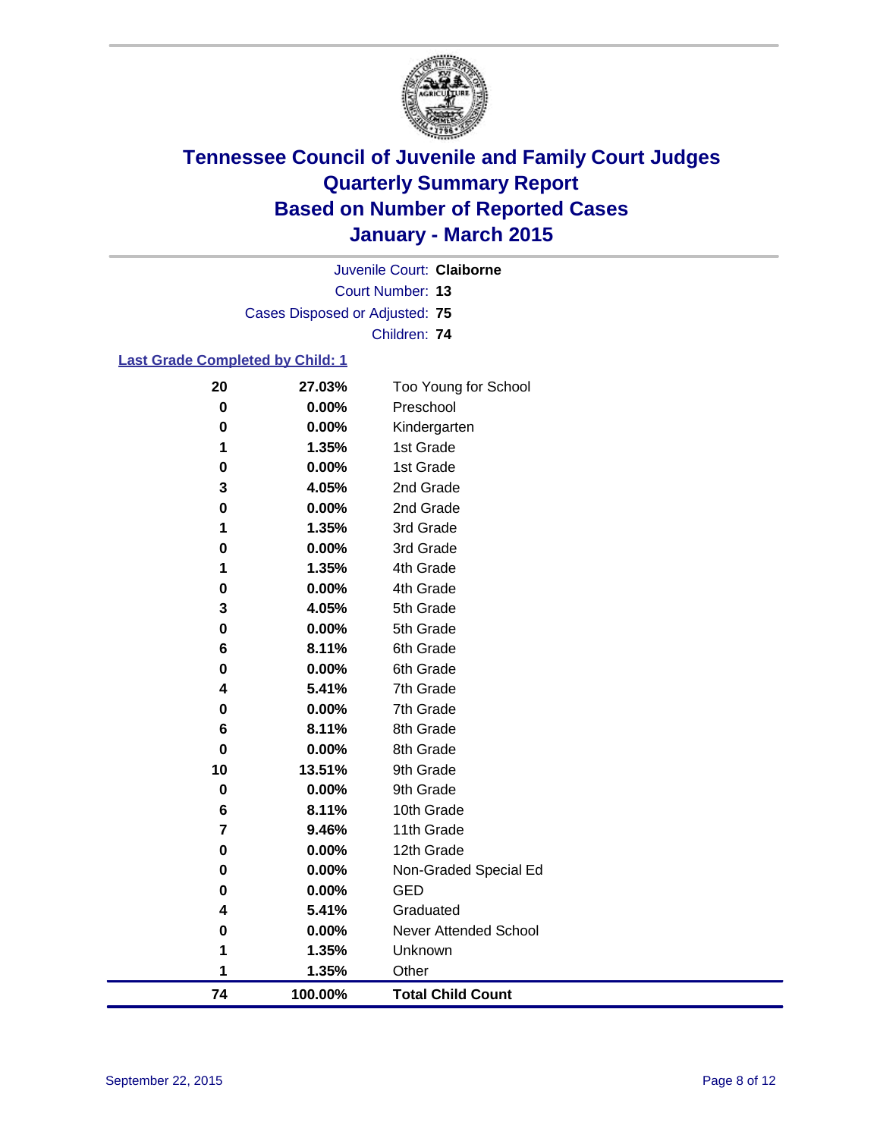

Court Number: **13** Juvenile Court: **Claiborne** Cases Disposed or Adjusted: **75** Children: **74**

#### **Last Grade Completed by Child: 1**

| 74     | 100.00%        | <b>Total Child Count</b> |  |
|--------|----------------|--------------------------|--|
| 1      | 1.35%          | Other                    |  |
| 1      | 1.35%          | Unknown                  |  |
| 0      | 0.00%          | Never Attended School    |  |
| 4      | 5.41%          | Graduated                |  |
| 0      | $0.00\%$       | <b>GED</b>               |  |
| 0      | 0.00%          | Non-Graded Special Ed    |  |
| 0      | 0.00%          | 12th Grade               |  |
| 7      | 9.46%          | 11th Grade               |  |
| 6      | 8.11%          | 10th Grade               |  |
| 0      | 0.00%          | 9th Grade                |  |
| 10     | 13.51%         | 9th Grade                |  |
| 0      | 0.00%          | 8th Grade                |  |
| 6      | 8.11%          | 8th Grade                |  |
| 0      | 0.00%          | 7th Grade                |  |
| 4      | 5.41%          | 7th Grade                |  |
| 0      | 0.00%          | 6th Grade                |  |
| 0<br>6 | 0.00%<br>8.11% | 6th Grade                |  |
| 3      | 4.05%          | 5th Grade<br>5th Grade   |  |
| 0      | 0.00%          | 4th Grade                |  |
| 1      | 1.35%          | 4th Grade                |  |
| 0      | 0.00%          | 3rd Grade                |  |
| 1      | 1.35%          | 3rd Grade                |  |
| 0      | 0.00%          | 2nd Grade                |  |
| 3      | 4.05%          | 2nd Grade                |  |
| 0      | 0.00%          | 1st Grade                |  |
| 1      | 1.35%          | 1st Grade                |  |
| 0      | 0.00%          | Kindergarten             |  |
| 0      | 0.00%          | Preschool                |  |
| 20     | 27.03%         | Too Young for School     |  |
|        |                |                          |  |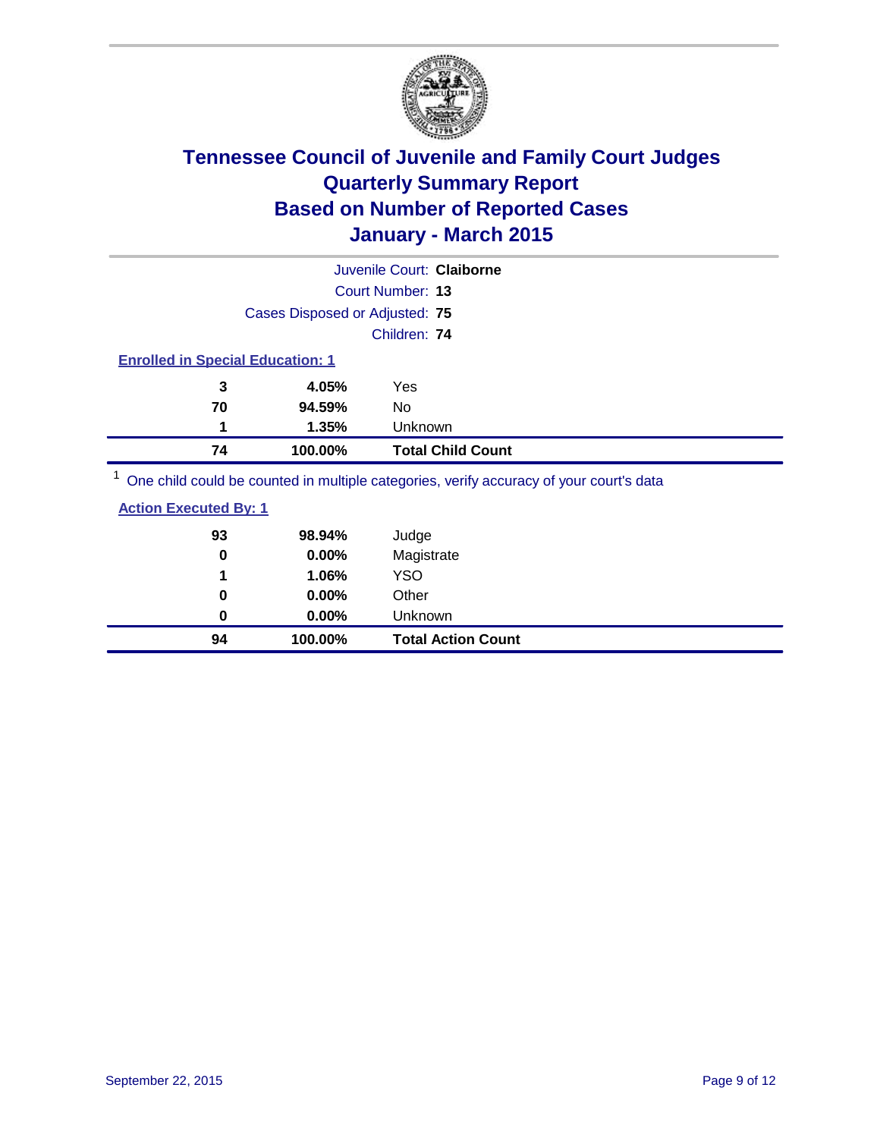

| Juvenile Court: Claiborne               |                                |                                                                                         |  |  |  |  |
|-----------------------------------------|--------------------------------|-----------------------------------------------------------------------------------------|--|--|--|--|
|                                         | Court Number: 13               |                                                                                         |  |  |  |  |
|                                         | Cases Disposed or Adjusted: 75 |                                                                                         |  |  |  |  |
|                                         |                                | Children: 74                                                                            |  |  |  |  |
| <b>Enrolled in Special Education: 1</b> |                                |                                                                                         |  |  |  |  |
| 3                                       | 4.05%                          | Yes                                                                                     |  |  |  |  |
| 70                                      | 94.59%                         | No                                                                                      |  |  |  |  |
| 1                                       | 1.35%                          | Unknown                                                                                 |  |  |  |  |
| 74                                      | 100.00%                        | <b>Total Child Count</b>                                                                |  |  |  |  |
|                                         |                                | One child could be counted in multiple categories, verify accuracy of your court's data |  |  |  |  |

| 94                           | 100.00% | <b>Total Action Count</b> |
|------------------------------|---------|---------------------------|
| $\bf{0}$                     | 0.00%   | Unknown                   |
| 0                            | 0.00%   | Other                     |
| 1                            | 1.06%   | <b>YSO</b>                |
| 0                            | 0.00%   | Magistrate                |
| 93                           | 98.94%  | Judge                     |
| <b>Action Executed By: 1</b> |         |                           |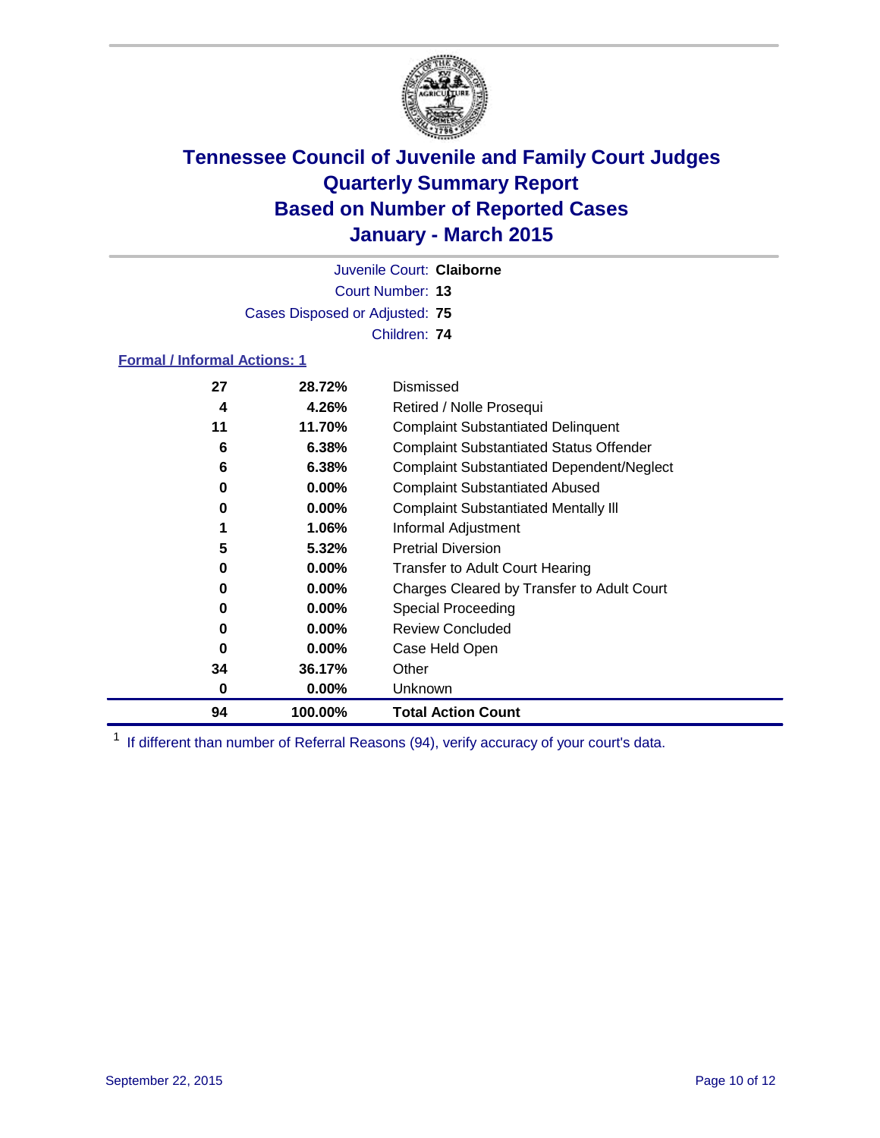

Court Number: **13** Juvenile Court: **Claiborne** Cases Disposed or Adjusted: **75** Children: **74**

#### **Formal / Informal Actions: 1**

| 27 | 28.72%   | Dismissed                                        |
|----|----------|--------------------------------------------------|
| 4  | 4.26%    | Retired / Nolle Prosequi                         |
| 11 | 11.70%   | <b>Complaint Substantiated Delinquent</b>        |
| 6  | 6.38%    | <b>Complaint Substantiated Status Offender</b>   |
| 6  | 6.38%    | <b>Complaint Substantiated Dependent/Neglect</b> |
| 0  | $0.00\%$ | <b>Complaint Substantiated Abused</b>            |
| 0  | $0.00\%$ | <b>Complaint Substantiated Mentally III</b>      |
|    | 1.06%    | Informal Adjustment                              |
| 5  | 5.32%    | <b>Pretrial Diversion</b>                        |
| 0  | $0.00\%$ | <b>Transfer to Adult Court Hearing</b>           |
| 0  | $0.00\%$ | Charges Cleared by Transfer to Adult Court       |
| 0  | $0.00\%$ | Special Proceeding                               |
| 0  | $0.00\%$ | <b>Review Concluded</b>                          |
| 0  | $0.00\%$ | Case Held Open                                   |
| 34 | 36.17%   | Other                                            |
| 0  | $0.00\%$ | <b>Unknown</b>                                   |
| 94 | 100.00%  | <b>Total Action Count</b>                        |

<sup>1</sup> If different than number of Referral Reasons (94), verify accuracy of your court's data.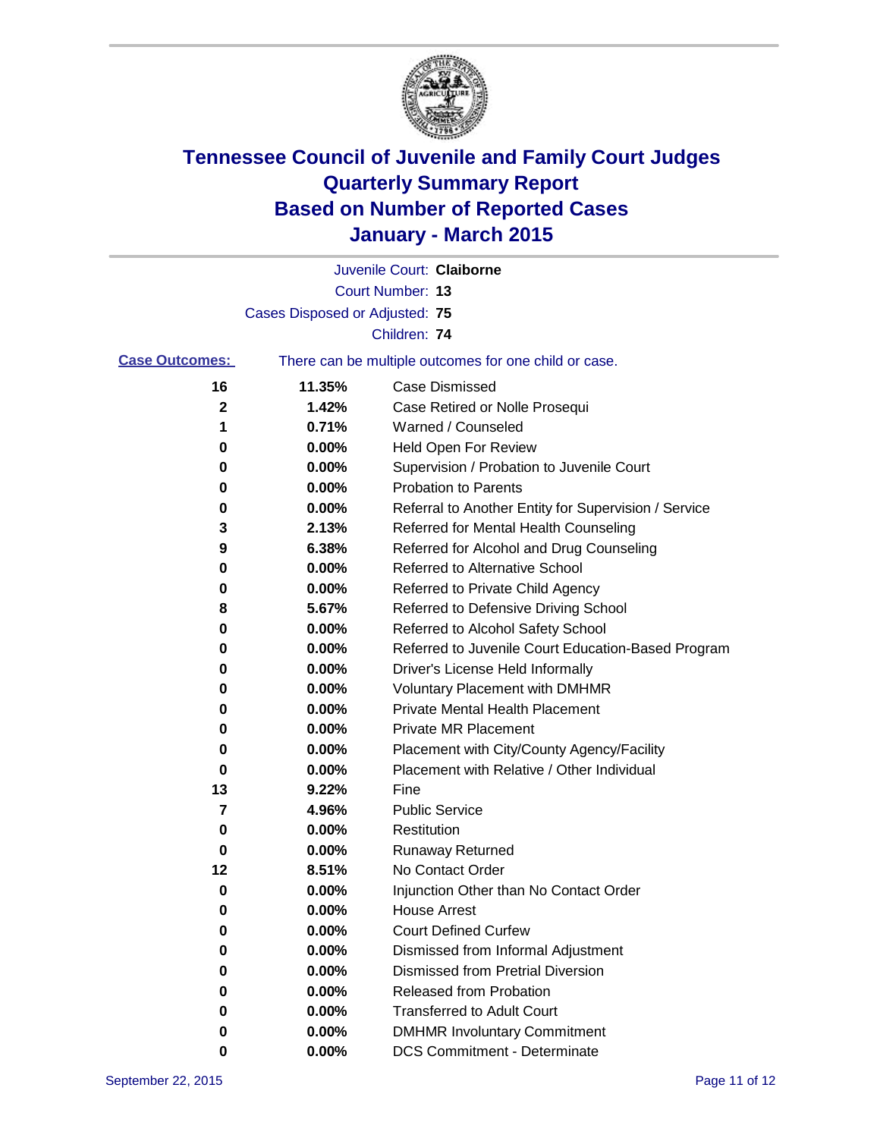

|                         |                                | Juvenile Court: Claiborne                             |
|-------------------------|--------------------------------|-------------------------------------------------------|
|                         |                                | Court Number: 13                                      |
|                         | Cases Disposed or Adjusted: 75 |                                                       |
|                         |                                | Children: 74                                          |
| <b>Case Outcomes:</b>   |                                | There can be multiple outcomes for one child or case. |
| 16                      | 11.35%                         | <b>Case Dismissed</b>                                 |
| 2                       | 1.42%                          | Case Retired or Nolle Prosequi                        |
| 1                       | 0.71%                          | Warned / Counseled                                    |
| 0                       | 0.00%                          | Held Open For Review                                  |
| 0                       | 0.00%                          | Supervision / Probation to Juvenile Court             |
| 0                       | 0.00%                          | <b>Probation to Parents</b>                           |
| 0                       | 0.00%                          | Referral to Another Entity for Supervision / Service  |
| 3                       | 2.13%                          | Referred for Mental Health Counseling                 |
| 9                       | 6.38%                          | Referred for Alcohol and Drug Counseling              |
| 0                       | 0.00%                          | Referred to Alternative School                        |
| 0                       | 0.00%                          | Referred to Private Child Agency                      |
| 8                       | 5.67%                          | Referred to Defensive Driving School                  |
| 0                       | 0.00%                          | Referred to Alcohol Safety School                     |
| 0                       | 0.00%                          | Referred to Juvenile Court Education-Based Program    |
| 0                       | 0.00%                          | Driver's License Held Informally                      |
| 0                       | 0.00%                          | <b>Voluntary Placement with DMHMR</b>                 |
| 0                       | 0.00%                          | <b>Private Mental Health Placement</b>                |
| 0                       | 0.00%                          | <b>Private MR Placement</b>                           |
| 0                       | 0.00%                          | Placement with City/County Agency/Facility            |
| 0                       | 0.00%                          | Placement with Relative / Other Individual            |
| 13                      | 9.22%                          | Fine                                                  |
| $\overline{\mathbf{7}}$ | 4.96%                          | <b>Public Service</b>                                 |
| 0                       | 0.00%                          | Restitution                                           |
| 0                       | 0.00%                          | <b>Runaway Returned</b>                               |
| 12                      | 8.51%                          | No Contact Order                                      |
| 0                       | 0.00%                          | Injunction Other than No Contact Order                |
| $\pmb{0}$               | 0.00%                          | <b>House Arrest</b>                                   |
| 0                       | 0.00%                          | <b>Court Defined Curfew</b>                           |
| 0                       | 0.00%                          | Dismissed from Informal Adjustment                    |
| 0                       | 0.00%                          | Dismissed from Pretrial Diversion                     |
| 0                       | 0.00%                          | Released from Probation                               |
| 0                       | 0.00%                          | <b>Transferred to Adult Court</b>                     |
| 0                       | 0.00%                          | <b>DMHMR Involuntary Commitment</b>                   |
| 0                       | $0.00\%$                       | <b>DCS Commitment - Determinate</b>                   |